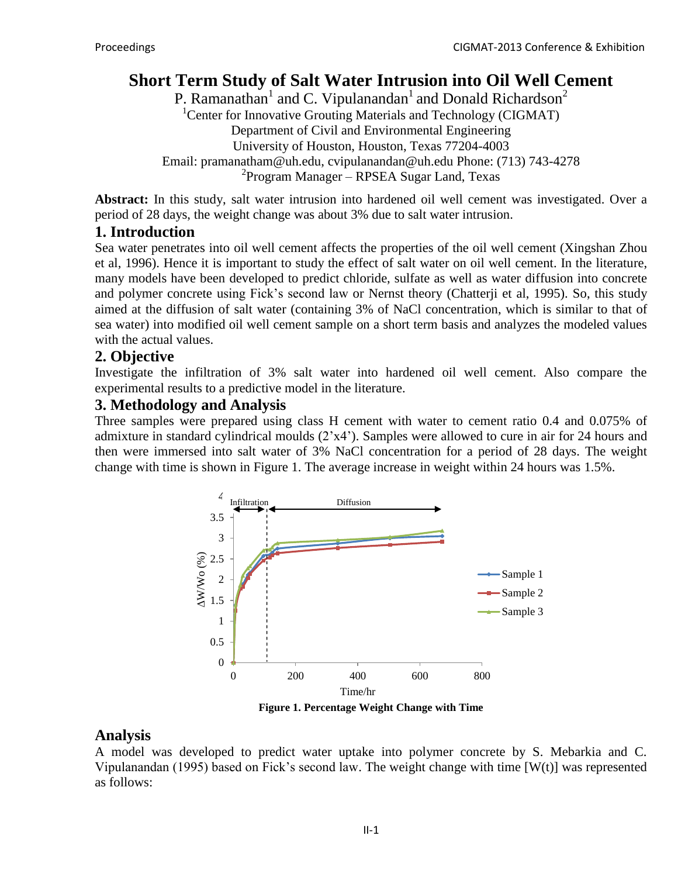# **Short Term Study of Salt Water Intrusion into Oil Well Cement**

P. Ramanathan<sup>1</sup> and C. Vipulanandan<sup>1</sup> and Donald Richardson<sup>2</sup> <sup>1</sup>Center for Innovative Grouting Materials and Technology (CIGMAT) Department of Civil and Environmental Engineering University of Houston, Houston, Texas 77204-4003 Email: [pramanatham@uh.edu,](mailto:pramanatham@uh.edu) [cvipulanandan@uh.edu](mailto:cvipulanandan@uh.edu) Phone: (713) 743-4278 2 Program Manager – RPSEA Sugar Land, Texas

**Abstract:** In this study, salt water intrusion into hardened oil well cement was investigated. Over a period of 28 days, the weight change was about 3% due to salt water intrusion.

### **1. Introduction**

Sea water penetrates into oil well cement affects the properties of the oil well cement (Xingshan Zhou et al, 1996). Hence it is important to study the effect of salt water on oil well cement. In the literature, many models have been developed to predict chloride, sulfate as well as water diffusion into concrete and polymer concrete using Fick's second law or Nernst theory (Chatterji et al, 1995). So, this study aimed at the diffusion of salt water (containing 3% of NaCl concentration, which is similar to that of sea water) into modified oil well cement sample on a short term basis and analyzes the modeled values with the actual values.

### **2. Objective**

Investigate the infiltration of 3% salt water into hardened oil well cement. Also compare the experimental results to a predictive model in the literature.

## **3. Methodology and Analysis**

Three samples were prepared using class H cement with water to cement ratio 0.4 and 0.075% of admixture in standard cylindrical moulds (2'x4'). Samples were allowed to cure in air for 24 hours and then were immersed into salt water of 3% NaCl concentration for a period of 28 days. The weight change with time is shown in Figure 1. The average increase in weight within 24 hours was 1.5%.



**Figure 1. Percentage Weight Change with Time**

## **Analysis**

A model was developed to predict water uptake into polymer concrete by S. Mebarkia and C. Vipulanandan (1995) based on Fick's second law. The weight change with time [W(t)] was represented as follows: